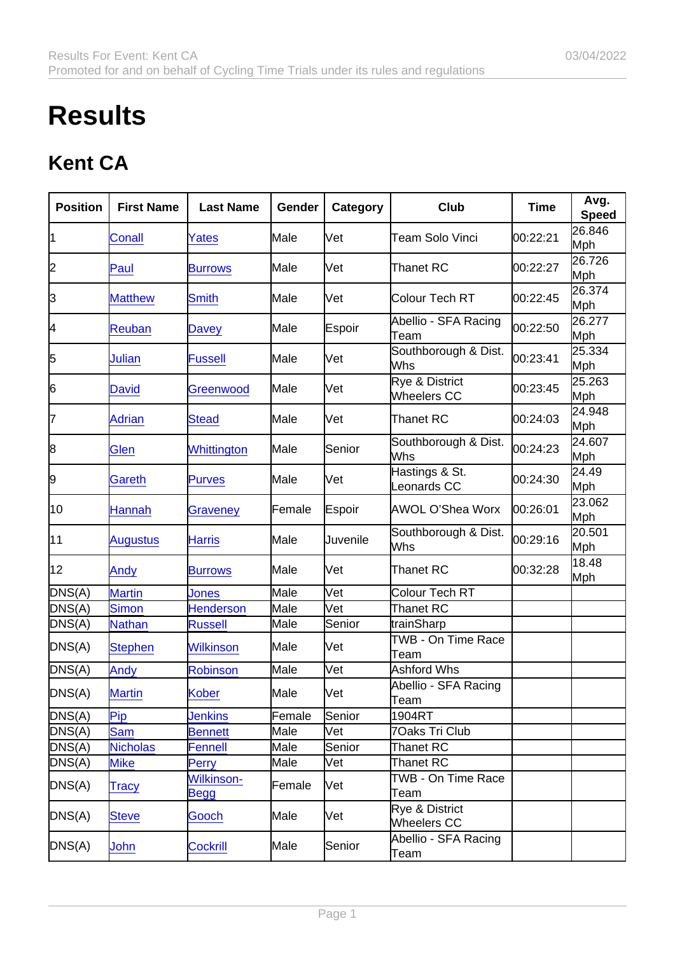## **Results**

## Kent CA

| Position | <b>First Name</b> | Last Name                        | Gender | Category                   | Club                                | Time     | Avg.<br>Speed |
|----------|-------------------|----------------------------------|--------|----------------------------|-------------------------------------|----------|---------------|
| 1        | Conall            | Yates                            | Male   | Vet                        | Team Solo Vinci                     | 00:22:21 | 26.846<br>Mph |
| 2        | Paul              | <b>Burrows</b>                   | Male   | Vet                        | Thanet RC                           | 00:22:27 | 26.726<br>Mph |
| 3        | <b>Matthew</b>    | <b>Smith</b>                     | Male   | Vet                        | Colour Tech RT                      | 00:22:45 | 26.374<br>Mph |
| 4        | <b>Reuban</b>     | <b>Davey</b>                     | Male   | Espoir                     | Abellio - SFA Racing<br>Team        | 00:22:50 | 26.277<br>Mph |
| 5        | Julian            | <b>Fussell</b>                   | Male   | Vet                        | Southborough & Dist.<br>Whs         | 00:23:41 | 25.334<br>Mph |
| 6        | <b>David</b>      | Greenwood                        | Male   | Vet                        | Rye & District<br>Wheelers CC       | 00:23:45 | 25.263<br>Mph |
| 17       | <b>Adrian</b>     | <b>Stead</b>                     | Male   | Vet                        | Thanet RC                           | 00:24:03 | 24.948<br>Mph |
| 8        | <b>Glen</b>       | Whittington                      | Male   | Senior                     | Southborough & Dist.<br>Whs         | 00:24:23 | 24.607<br>Mph |
| 9        | <b>Gareth</b>     | <b>Purves</b>                    | Male   | Vet                        | Hastings & St.<br>Leonards CC       | 00:24:30 | 24.49<br>Mph  |
| 10       | <b>Hannah</b>     | Graveney                         | Female | Espoir                     | AWOL O'Shea Worx                    | 00:26:01 | 23.062<br>Mph |
| 11       | <b>Augustus</b>   | <b>Harris</b>                    | Male   | Juvenile                   | Southborough & Dist.<br>Whs         | 00:29:16 | 20.501<br>Mph |
| 12       | Andy              | <b>Burrows</b>                   | Male   | Vet                        | Thanet RC                           | 00:32:28 | 18.48<br>Mph  |
| DNS(A)   | <b>Martin</b>     | Jones                            | Male   | $\overline{\mathsf{V}}$ et | Colour Tech RT                      |          |               |
| DNS(A)   | <b>Simon</b>      | <b>Henderson</b>                 | Male   | Vet                        | Thanet RC                           |          |               |
| DNS(A)   | <b>Nathan</b>     | <b>Russell</b>                   | Male   | Senior                     | trainSharp                          |          |               |
| DNS(A)   | <b>Stephen</b>    | <b>Wilkinson</b>                 | Male   | Vet                        | TWB - On Time Race<br>Team          |          |               |
| DNS(A)   | Andy              | Robinson                         | Male   | Vet                        | Ashford Whs                         |          |               |
| DNS(A)   | <b>Martin</b>     | <b>Kober</b>                     | Male   | Vet                        | Abellio - SFA Racing<br><b>Team</b> |          |               |
| DNS(A)   | Pip               | <b>Jenkins</b>                   | Female | Senior                     | 1904RT                              |          |               |
| DNS(A)   | <b>Sam</b>        | <b>Bennett</b>                   | Male   | Vet                        | 7Oaks Tri Club                      |          |               |
| DNS(A)   | <b>Nicholas</b>   | Fennell                          | Male   | Senior                     | Thanet RC                           |          |               |
| DNS(A)   | <b>Mike</b>       | Perry                            | Male   | Vet                        | Thanet RC                           |          |               |
| DNS(A)   | Tracy             | <b>Wilkinson-</b><br><b>Begg</b> | Female | Vet                        | TWB - On Time Race<br>Team          |          |               |
| DNS(A)   | <b>Steve</b>      | Gooch                            | Male   | Vet                        | Rye & District<br>Wheelers CC       |          |               |
| DNS(A)   | <b>John</b>       | <b>Cockrill</b>                  | Male   | Senior                     | Abellio - SFA Racing<br>Team        |          |               |